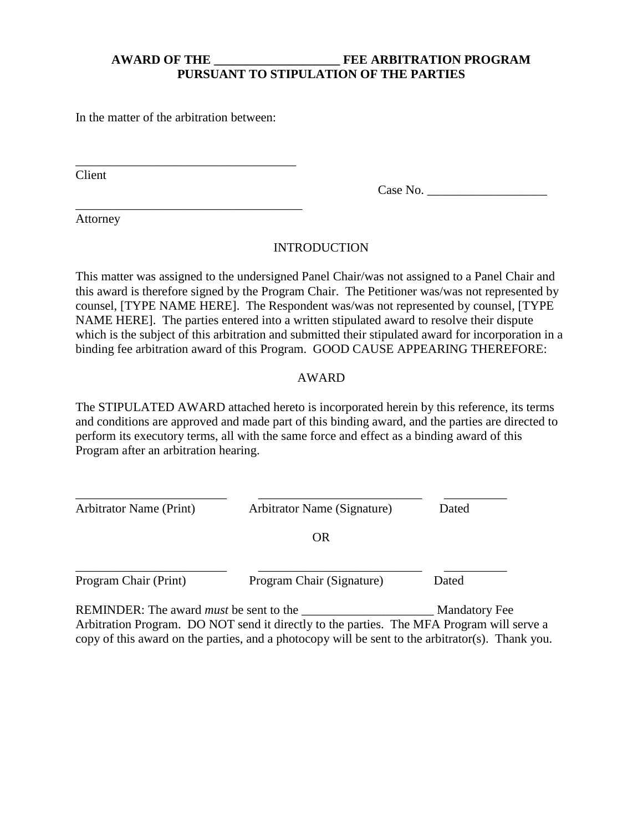# **AWARD OF THE \_\_\_\_\_\_\_\_\_\_\_\_\_\_\_\_\_\_\_\_ FEE ARBITRATION PROGRAM PURSUANT TO STIPULATION OF THE PARTIES**

In the matter of the arbitration between:

\_\_\_\_\_\_\_\_\_\_\_\_\_\_\_\_\_\_\_\_\_\_\_\_\_\_\_\_\_\_\_\_\_\_\_

\_\_\_\_\_\_\_\_\_\_\_\_\_\_\_\_\_\_\_\_\_\_\_\_\_\_\_\_\_\_\_\_\_\_\_\_

Client

Case No. \_\_\_\_\_\_\_\_\_\_\_\_\_\_\_\_\_\_\_

Attorney

# INTRODUCTION

This matter was assigned to the undersigned Panel Chair/was not assigned to a Panel Chair and this award is therefore signed by the Program Chair. The Petitioner was/was not represented by counsel, [TYPE NAME HERE]. The Respondent was/was not represented by counsel, [TYPE NAME HERE]. The parties entered into a written stipulated award to resolve their dispute which is the subject of this arbitration and submitted their stipulated award for incorporation in a binding fee arbitration award of this Program. GOOD CAUSE APPEARING THEREFORE:

### AWARD

The STIPULATED AWARD attached hereto is incorporated herein by this reference, its terms and conditions are approved and made part of this binding award, and the parties are directed to perform its executory terms, all with the same force and effect as a binding award of this Program after an arbitration hearing.

| <b>Arbitrator Name (Print)</b> | Arbitrator Name (Signature) | Dated |
|--------------------------------|-----------------------------|-------|
|                                | <b>OR</b>                   |       |
| Program Chair (Print)          | Program Chair (Signature)   | Dated |

REMINDER: The award *must* be sent to the \_\_\_\_\_\_\_\_\_\_\_\_\_\_\_\_\_\_\_\_\_ Mandatory Fee Arbitration Program. DO NOT send it directly to the parties. The MFA Program will serve a copy of this award on the parties, and a photocopy will be sent to the arbitrator(s). Thank you.